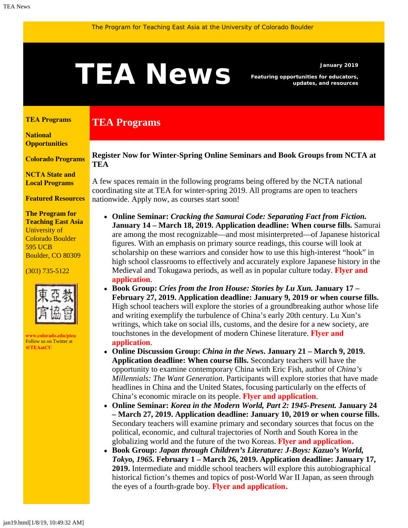# <span id="page-0-1"></span>January 2019<br>**TEAN EWS** Featuring opportunities for educators,<br>updates, and resources

**TEA Programs**

*Featuring opportunities for educators, updates, and resources*

#### <span id="page-0-0"></span>**[TEA Programs](#page-0-0)**

**[National](#page-0-1)  [Opportunities](#page-0-1)**

**[Colorado Programs](#page-0-1)**

**[NCTA State and](#page-2-0) [Local Programs](#page-2-0)**

**[Featured Resources](#page-3-0)**

**The Program for Teaching East Asia** University of Colorado Boulder 595 UCB Boulder, CO 80309

#### (303) 735-5122



**[www.colorado.edu/ptea](http://www.colorado.edu/cas/tea)** Follow us on Twitter at **[@TEAatCU](https://twitter.com/TEAatCU)**

### **Register Now for Winter-Spring Online Seminars and Book Groups from NCTA at TEA**

A few spaces remain in the following programs being offered by the NCTA national coordinating site at TEA for winter-spring 2019. All programs are open to teachers nationwide. Apply now, as courses start soon!

- **Online Seminar:** *Cracking the Samurai Code: Separating Fact from Fiction.* **January 14 – March 18, 2019. Application deadline: When course fills.** Samurai are among the most recognizable—and most misinterpreted—of Japanese historical figures. With an emphasis on primary source readings, this course will look at scholarship on these warriors and consider how to use this high-interest "hook" in high school classrooms to effectively and accurately explore Japanese history in the Medieval and Tokugawa periods, as well as in popular culture today. **[Flyer and](https://www.colorado.edu/ptea/sites/default/files/attached-files/samuraiflyer192.pdf) [application](https://www.colorado.edu/ptea/sites/default/files/attached-files/samuraiflyer192.pdf)**.
- **Book Group:** *Cries from the Iron House: Stories by Lu Xun.* **January 17 – February 27, 2019. Application deadline: January 9, 2019 or when course fills.** High school teachers will explore the stories of a groundbreaking author whose life and writing exemplify the turbulence of China's early 20th century. Lu Xun's writings, which take on social ills, customs, and the desire for a new society, are touchstones in the development of modern Chinese literature. **[Flyer and](https://www.colorado.edu/ptea/sites/default/files/attached-files/luxunwinter19.pdf) [application](https://www.colorado.edu/ptea/sites/default/files/attached-files/luxunwinter19.pdf)**.
- **Online Discussion Group:** *China in the News***. January 21 March 9, 2019. Application deadline: When course fills.** Secondary teachers will have the opportunity to examine contemporary China with Eric Fish, author of *China's Millennials: The Want Generation*. Participants will explore stories that have made headlines in China and the United States, focusing particularly on the effects of China's economic miracle on its people. **[Flyer and application](https://www.colorado.edu/ptea/sites/default/files/attached-files/china_news_winter2019.pdf)**.
- **Online Seminar:** *Korea in the Modern World, Part 2: 1945-Present.* **January 24 – March 27, 2019. Application deadline: January 10, 2019 or when course fills.** Secondary teachers will examine primary and secondary sources that focus on the political, economic, and cultural trajectories of North and South Korea in the globalizing world and the future of the two Koreas. **[Flyer and application.](https://www.colorado.edu/ptea/sites/default/files/attached-files/2019koreacoursepart2flyer.pdf)**
- **Book Group:** *Japan through Children's Literature: J-Boys: Kazuo's World, Tokyo, 1965.* **February 1 – March 26, 2019. Application deadline: January 17, 2019.** Intermediate and middle school teachers will explore this autobiographical historical fiction's themes and topics of post-World War II Japan, as seen through the eyes of a fourth-grade boy. **[Flyer and application.](https://www.colorado.edu/ptea/sites/default/files/attached-files/ws2019jpkidlitbgflyer.pdf)**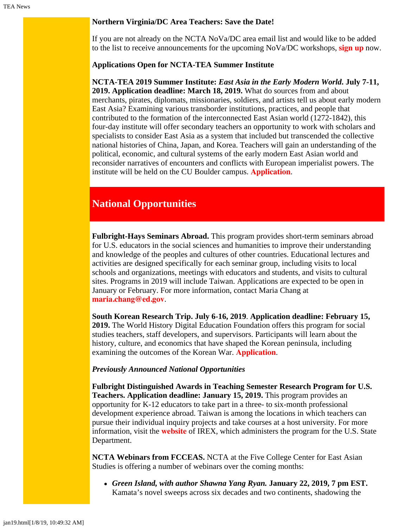### **Northern Virginia/DC Area Teachers: Save the Date!**

If you are not already on the NCTA NoVa/DC area email list and would like to be added to the list to receive announcements for the upcoming NoVa/DC workshops, **[sign up](https://www.colorado.edu/ptea/content/ncta-novadc-area-workshops-email-list)** now.

#### **Applications Open for NCTA-TEA Summer Institute**

**NCTA-TEA 2019 Summer Institute:** *East Asia in the Early Modern World***. July 7-11, 2019. Application deadline: March 18, 2019.** What do sources from and about merchants, pirates, diplomats, missionaries, soldiers, and artists tell us about early modern East Asia? Examining various transborder institutions, practices, and people that contributed to the formation of the interconnected East Asian world (1272-1842), this four-day institute will offer secondary teachers an opportunity to work with scholars and specialists to consider East Asia as a system that included but transcended the collective national histories of China, Japan, and Korea. Teachers will gain an understanding of the political, economic, and cultural systems of the early modern East Asian world and reconsider narratives of encounters and conflicts with European imperialist powers. The institute will be held on the CU Boulder campus. **[Application](https://www.colorado.edu/ptea/sites/default/files/attached-files/si19application_fillable.pdf)**.

## **National Opportunities**

**Fulbright-Hays Seminars Abroad.** This program provides short-term seminars abroad for U.S. educators in the social sciences and humanities to improve their understanding and knowledge of the peoples and cultures of other countries. Educational lectures and activities are designed specifically for each seminar group, including visits to local schools and organizations, meetings with educators and students, and visits to cultural sites. Programs in 2019 will include Taiwan. Applications are expected to be open in January or February. For more information, contact Maria Chang at **[maria.chang@ed.gov](mailto:maria.chang@ed.gov)**.

**South Korean Research Trip. July 6-16, 2019**. **Application deadline: February 15, 2019.** The World History Digital Education Foundation offers this program for social studies teachers, staff developers, and supervisors. Participants will learn about the history, culture, and economics that have shaped the Korean peninsula, including examining the outcomes of the Korean War. **[Application](https://koreanwardigitalhistoryproject.submittable.com/submit/122058/2019-korean-research-trip)**.

#### *Previously Announced National Opportunities*

**Fulbright Distinguished Awards in Teaching Semester Research Program for U.S. Teachers. Application deadline: January 15, 2019.** This program provides an opportunity for K-12 educators to take part in a three- to six-month professional development experience abroad. Taiwan is among the locations in which teachers can pursue their individual inquiry projects and take courses at a host university. For more information, visit the **[website](https://www.irex.org/project/fulbright-distinguished-awards-teaching-semester-research-program-us-teachers)** of IREX, which administers the program for the U.S. State Department.

**NCTA Webinars from FCCEAS.** NCTA at the Five College Center for East Asian Studies is offering a number of webinars over the coming months:

*Green Island, with author Shawna Yang Ryan.* **January 22, 2019, 7 pm EST.** Kamata's novel sweeps across six decades and two continents, shadowing the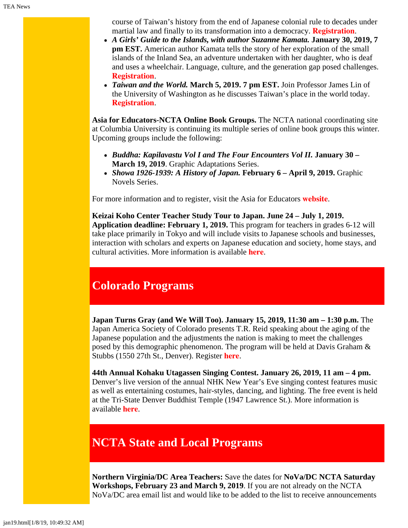course of Taiwan's history from the end of Japanese colonial rule to decades under martial law and finally to its transformation into a democracy. **[Registration](https://register.gotowebinar.com/register/8974507870608552451)**.

- *A Girls' Guide to the Islands, with author Suzanne Kamata.* **January 30, 2019, 7 pm EST.** American author Kamata tells the story of her exploration of the small islands of the Inland Sea, an adventure undertaken with her daughter, who is deaf and uses a wheelchair. Language, culture, and the generation gap posed challenges. **[Registration](https://attendee.gotowebinar.com/register/4570052306360141313)**.
- *Taiwan and the World.* **March 5, 2019. 7 pm EST.** Join Professor James Lin of the University of Washington as he discusses Taiwan's place in the world today. **[Registration](https://register.gotowebinar.com/register/6175470123094257155)**.

**Asia for Educators-NCTA Online Book Groups.** The NCTA national coordinating site at Columbia University is continuing its multiple series of online book groups this winter. Upcoming groups include the following:

- *Buddha: Kapilavastu Vol I and The Four Encounters Vol II.* **January 30 – March 19, 2019**. Graphic Adaptations Series.
- *Showa 1926-1939: A History of Japan.* **February 6 April 9, 2019.** Graphic Novels Series.

For more information and to register, visit the Asia for Educators **[website](http://asiaforeducators.org/course/index.php?categoryid=41)**.

**Keizai Koho Center Teacher Study Tour to Japan. June 24 – July 1, 2019. Application deadline: February 1, 2019.** This program for teachers in grades 6-12 will take place primarily in Tokyo and will include visits to Japanese schools and businesses, interaction with scholars and experts on Japanese education and society, home stays, and cultural activities. More information is available **[here](http://www.us-japan.org/programs/kkc/k2019/index.html)**.

# **Colorado Programs**

**Japan Turns Gray (and We Will Too). January 15, 2019, 11:30 am – 1:30 p.m.** The Japan America Society of Colorado presents T.R. Reid speaking about the aging of the Japanese population and the adjustments the nation is making to meet the challenges posed by this demographic phenomenon. The program will be held at Davis Graham & Stubbs (1550 27th St., Denver). Register **[here](https://www.jascolorado.org/eventsold/2019/1/15/japan-turns-gray#)**.

**44th Annual Kohaku Utagassen Singing Contest. January 26, 2019, 11 am – 4 pm.** Denver's live version of the annual NHK New Year's Eve singing contest features music as well as entertaining costumes, hair-styles, dancing, and lighting. The free event is held at the Tri-State Denver Buddhist Temple (1947 Lawrence St.). More information is available **[here](https://www.jascolorado.org/eventsold/2019/1/26/kohaku)**.

# <span id="page-2-0"></span>**NCTA State and Local Programs**

**Northern Virginia/DC Area Teachers:** Save the dates for **NoVa/DC NCTA Saturday Workshops, February 23 and March 9, 2019**. If you are not already on the NCTA NoVa/DC area email list and would like to be added to the list to receive announcements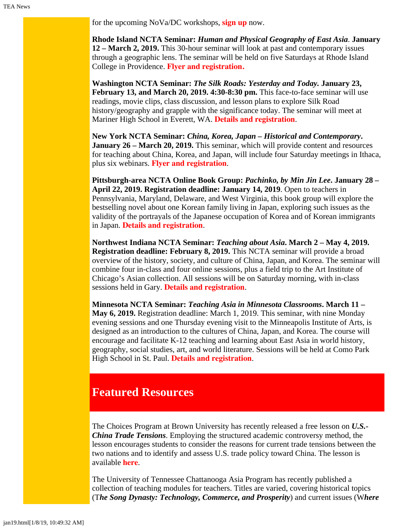for the upcoming NoVa/DC workshops, **[sign up](https://www.colorado.edu/ptea/content/ncta-novadc-area-workshops-email-list)** now.

**Rhode Island NCTA Seminar:** *Human and Physical Geography of East Asia*. **January 12 – March 2, 2019.** This 30-hour seminar will look at past and contemporary issues through a geographic lens. The seminar will be held on five Saturdays at Rhode Island College in Providence. **[Flyer and registration.](https://www.fivecolleges.edu/system/files/attachments/2018-2019%20NCTA%20Rhode%20Island%20seminar%20flyer.pdf)**

**Washington NCTA Seminar:** *The Silk Roads: Yesterday and Today.* **January 23, February 13, and March 20, 2019. 4:30-8:30 pm.** This face-to-face seminar will use readings, movie clips, class discussion, and lesson plans to explore Silk Road history/geography and grapple with the significance today. The seminar will meet at Mariner High School in Everett, WA. **[Details and registration](https://jsis.washington.edu/earc/silkroad-everett/)**.

**New York NCTA Seminar:** *China, Korea, Japan – Historical and Contemporary***. January 26 – March 20, 2019.** This seminar, which will provide content and resources for teaching about China, Korea, and Japan, will include four Saturday meetings in Ithaca, plus six webinars. **[Flyer and registration](https://www.fivecolleges.edu/system/files/attachments/NCTA%202019%20Ithaca%20Seminar%20flyer%20and%20application.pdf)**.

**Pittsburgh-area NCTA Online Book Group:** *Pachinko, by Min Jin Lee***. January 28** *–* **April 22, 2019. Registration deadline: January 14, 2019**. Open to teachers in Pennsylvania, Maryland, Delaware, and West Virginia, this book group will explore the bestselling novel about one Korean family living in Japan, exploring such issues as the validity of the portrayals of the Japanese occupation of Korea and of Korean immigrants in Japan. **[Details and registration](https://www.ucis.pitt.edu/ncta/event-opportunities/online-book-discussion-groups)**.

**Northwest Indiana NCTA Seminar:** *Teaching about Asia***. March 2 – May 4, 2019. Registration deadline: February 8, 2019.** This NCTA seminar will provide a broad overview of the history, society, and culture of China, Japan, and Korea. The seminar will combine four in-class and four online sessions, plus a field trip to the Art Institute of Chicago's Asian collection. All sessions will be on Saturday morning, with in-class sessions held in Gary. **[Details and registration](http://www.indiana.edu/~easc/outreach/educators/seminar/index.shtml)**.

**Minnesota NCTA Seminar:** *Teaching Asia in Minnesota Classrooms***. March 11 – May 6, 2019.** Registration deadline: March 1, 2019. This seminar, with nine Monday evening sessions and one Thursday evening visit to the Minneapolis Institute of Arts, is designed as an introduction to the cultures of China, Japan, and Korea. The course will encourage and facilitate K-12 teaching and learning about East Asia in world history, geography, social studies, art, and world literature. Sessions will be held at Como Park High School in St. Paul. **[Details and registration](https://www.ucis.pitt.edu/ncta/seminar-site-states/minnesota)**.

# <span id="page-3-0"></span>**Featured Resources**

The Choices Program at Brown University has recently released a free lesson on *U.S.- China Trade Tensions*. Employing the structured academic controversy method, the lesson encourages students to consider the reasons for current trade tensions between the two nations and to identify and assess U.S. trade policy toward China. The lesson is available **[here](http://www.choices.edu/teaching-news-lesson/u-s-china-trade-tensions/)**.

The University of Tennessee Chattanooga Asia Program has recently published a collection of teaching modules for teachers. Titles are varied, covering historical topics (T*he Song Dynasty: Technology, Commerce, and Prosperity*) and current issues (W*here*